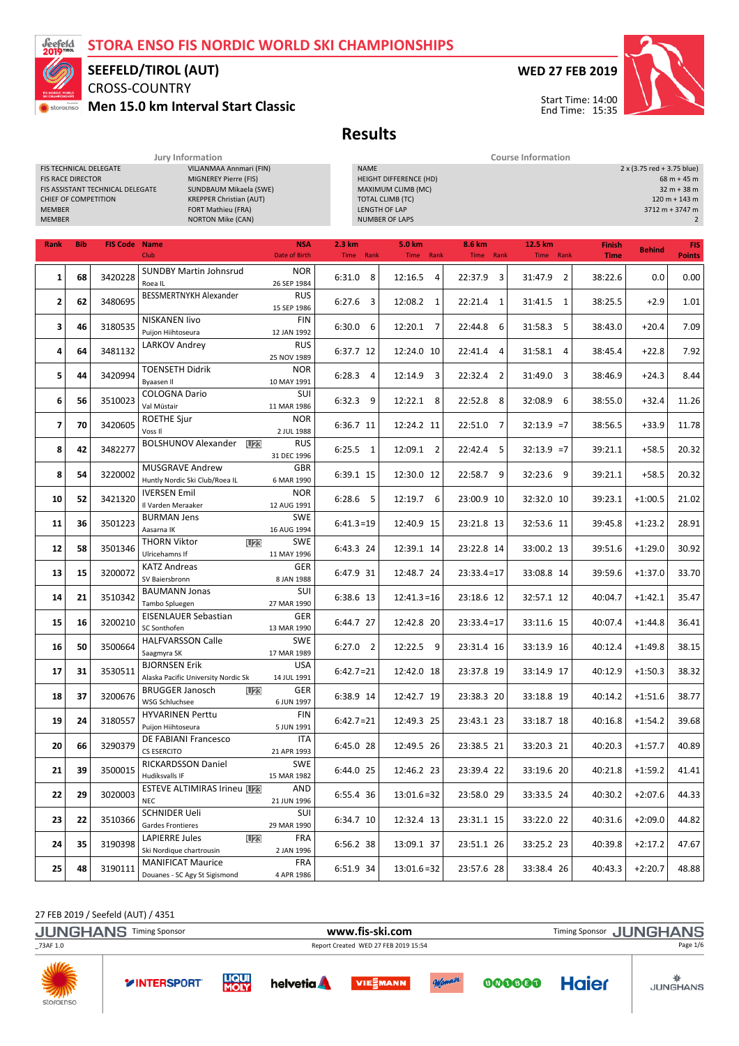### STORA ENSO FIS NORDIC WORLD SKI CHAMPIONSHIPS



## SEEFELD/TIROL (AUT)

CROSS-COUNTRY Men 15.0 km Interval Start Classic

### WED 27 FEB 2019



### Results

|                                |                                                  |                                                            | Jury Information                                                                                                                                               |                             | <b>Course Information</b> |                                                                                                                                                                                                                         |                           |                           |                              |               |                             |  |  |  |  |
|--------------------------------|--------------------------------------------------|------------------------------------------------------------|----------------------------------------------------------------------------------------------------------------------------------------------------------------|-----------------------------|---------------------------|-------------------------------------------------------------------------------------------------------------------------------------------------------------------------------------------------------------------------|---------------------------|---------------------------|------------------------------|---------------|-----------------------------|--|--|--|--|
| <b>MEMBER</b><br><b>MEMBER</b> | <b>FIS RACE DIRECTOR</b><br>CHIEF OF COMPETITION | FIS TECHNICAL DELEGATE<br>FIS ASSISTANT TECHNICAL DELEGATE | VILJANMAA Annmari (FIN)<br>MIGNEREY Pierre (FIS)<br>SUNDBAUM Mikaela (SWE)<br><b>KREPPER Christian (AUT)</b><br>FORT Mathieu (FRA)<br><b>NORTON Mike (CAN)</b> |                             | <b>NAME</b>               | 2 x (3.75 red + 3.75 blue)<br>HEIGHT DIFFERENCE (HD)<br>$68 m + 45 m$<br>$32 m + 38 m$<br>MAXIMUM CLIMB (MC)<br><b>TOTAL CLIMB (TC)</b><br>$120 m + 143 m$<br>LENGTH OF LAP<br>3712 m + 3747 m<br><b>NUMBER OF LAPS</b> |                           |                           |                              |               |                             |  |  |  |  |
| Rank                           | <b>Bib</b>                                       | <b>FIS Code Name</b>                                       | Club                                                                                                                                                           | <b>NSA</b><br>Date of Birth | 2.3 km<br>Time Rank       | 5.0 km<br>Time Rank                                                                                                                                                                                                     | 8.6 km<br>Time Rank       | 12.5 km<br>Time Rank      | <b>Finish</b><br><b>Time</b> | <b>Behind</b> | <b>FIS</b><br><b>Points</b> |  |  |  |  |
| $\mathbf{1}$                   | 68                                               | 3420228                                                    | <b>SUNDBY Martin Johnsrud</b><br>Roea IL                                                                                                                       | <b>NOR</b><br>26 SEP 1984   | 6:31.0 8                  | 12:16.5<br>$\overline{4}$                                                                                                                                                                                               | 22:37.9<br>3              | $\overline{2}$<br>31:47.9 | 38:22.6                      | 0.0           | 0.00                        |  |  |  |  |
| $\overline{2}$                 | 62                                               | 3480695                                                    | BESSMERTNYKH Alexander                                                                                                                                         | <b>RUS</b><br>15 SEP 1986   | 6:27.6<br>3               | 12:08.2 1                                                                                                                                                                                                               | 22:21.4<br>-1             | 31:41.5<br>$\mathbf{1}$   | 38:25.5                      | $+2.9$        | 1.01                        |  |  |  |  |
| 3                              | 46                                               | 3180535                                                    | <b>NISKANEN livo</b><br>Puijon Hiihtoseura                                                                                                                     | FIN<br>12 JAN 1992          | 6:30.0<br>6               | 12:20.1 7                                                                                                                                                                                                               | 22:44.8<br>6              | 31:58.3<br>5              | 38:43.0                      | $+20.4$       | 7.09                        |  |  |  |  |
| 4                              | 64                                               | 3481132                                                    | LARKOV Andrey                                                                                                                                                  | <b>RUS</b><br>25 NOV 1989   | 6:37.7 12                 | 12:24.0 10                                                                                                                                                                                                              | 22:41.4<br>$\overline{4}$ | 31:58.1<br>4              | 38:45.4                      | $+22.8$       | 7.92                        |  |  |  |  |
| 5                              | 44                                               | 3420994                                                    | <b>TOENSETH Didrik</b><br>Byaasen II                                                                                                                           | <b>NOR</b><br>10 MAY 1991   | 6:28.3<br>4               | 12:14.9<br>3                                                                                                                                                                                                            | 22:32.4<br>2              | 31:49.0<br>3              | 38:46.9                      | $+24.3$       | 8.44                        |  |  |  |  |
| 6                              | 56                                               | 3510023                                                    | <b>COLOGNA Dario</b><br>Val Müstair                                                                                                                            | SUI<br>11 MAR 1986          | 6:32.3<br>9               | 12:22.1 8                                                                                                                                                                                                               | 22:52.8<br>8              | 32:08.9<br>6              | 38:55.0                      | $+32.4$       | 11.26                       |  |  |  |  |
| $\overline{7}$                 | 70                                               | 3420605                                                    | ROETHE Sjur<br>Voss II                                                                                                                                         | <b>NOR</b><br>2 JUL 1988    | 6:36.7 11                 | 12:24.2 11                                                                                                                                                                                                              | 22:51.0<br>$\overline{7}$ | $32:13.9 = 7$             | 38:56.5                      | $+33.9$       | 11.78                       |  |  |  |  |
| 8                              | 42                                               | 3482277                                                    | <b>BOLSHUNOV Alexander</b><br><b>U23</b>                                                                                                                       | <b>RUS</b><br>31 DEC 1996   | $6:25.5$ 1                | 12:09.1 2                                                                                                                                                                                                               | 22:42.4<br>-5             | $32:13.9 = 7$             | 39:21.1                      | $+58.5$       | 20.32                       |  |  |  |  |
| 8                              | 54                                               | 3220002                                                    | <b>MUSGRAVE Andrew</b><br>Huntly Nordic Ski Club/Roea IL                                                                                                       | <b>GBR</b><br>6 MAR 1990    | 6:39.1 15                 | 12:30.0 12                                                                                                                                                                                                              | 22:58.7 9                 | 32:23.6<br>-9             | 39:21.1                      | $+58.5$       | 20.32                       |  |  |  |  |
| 10                             | 52                                               | 3421320                                                    | <b>IVERSEN Emil</b><br>Il Varden Meraaker                                                                                                                      | <b>NOR</b><br>12 AUG 1991   | $6:28.6$ 5                | 12:19.7 6                                                                                                                                                                                                               | 23:00.9 10                | 32:32.0 10                | 39:23.1                      | $+1:00.5$     | 21.02                       |  |  |  |  |
| 11                             | 36                                               | 3501223                                                    | <b>BURMAN Jens</b><br>Aasarna IK                                                                                                                               | <b>SWE</b><br>16 AUG 1994   | $6:41.3=19$               | 12:40.9 15                                                                                                                                                                                                              | 23:21.8 13                | 32:53.6 11                | 39:45.8                      | $+1:23.2$     | 28.91                       |  |  |  |  |
| 12                             | 58                                               | 3501346                                                    | <b>THORN Viktor</b><br>U23<br>Ulricehamns If                                                                                                                   | <b>SWE</b><br>11 MAY 1996   | 6:43.3 24                 | 12:39.1 14                                                                                                                                                                                                              | 23:22.8 14                | 33:00.2 13                | 39:51.6                      | $+1:29.0$     | 30.92                       |  |  |  |  |
| 13                             | 15                                               | 3200072                                                    | <b>KATZ Andreas</b><br>SV Baiersbronn                                                                                                                          | <b>GER</b><br>8 JAN 1988    | 6:47.9 31                 | 12:48.7 24                                                                                                                                                                                                              | $23:33.4=17$              | 33:08.8 14                | 39:59.6                      | $+1:37.0$     | 33.70                       |  |  |  |  |
| 14                             | 21                                               | 3510342                                                    | <b>BAUMANN Jonas</b><br>Tambo Spluegen                                                                                                                         | SUI<br>27 MAR 1990          | 6:38.6 13                 | $12:41.3=16$                                                                                                                                                                                                            | 23:18.6 12                | 32:57.1 12                | 40:04.7                      | $+1:42.1$     | 35.47                       |  |  |  |  |
| 15                             | 16                                               | 3200210                                                    | <b>EISENLAUER Sebastian</b><br>SC Sonthofen                                                                                                                    | GER<br>13 MAR 1990          | 6:44.7 27                 | 12:42.8 20                                                                                                                                                                                                              | $23:33.4=17$              | 33:11.6 15                | 40:07.4                      | $+1:44.8$     | 36.41                       |  |  |  |  |
| 16                             | 50                                               | 3500664                                                    | <b>HALFVARSSON Calle</b><br>Saagmyra SK                                                                                                                        | <b>SWE</b><br>17 MAR 1989   | $6:27.0$ 2                | 12:22.5<br>9                                                                                                                                                                                                            | 23:31.4 16                | 33:13.9 16                | 40:12.4                      | $+1:49.8$     | 38.15                       |  |  |  |  |
| 17                             | 31                                               | 3530511                                                    | <b>BJORNSEN Erik</b><br>Alaska Pacific University Nordic Sk                                                                                                    | <b>USA</b><br>14 JUL 1991   | $6:42.7=21$               | 12:42.0 18                                                                                                                                                                                                              | 23:37.8 19                | 33:14.9 17                | 40:12.9                      | $+1:50.3$     | 38.32                       |  |  |  |  |
| 18                             | 37                                               | 3200676                                                    | <b>BRUGGER Janosch</b><br>U23<br>WSG Schluchsee                                                                                                                | GER<br>6 JUN 1997           | 6:38.9 14                 | 12:42.7 19                                                                                                                                                                                                              | 23:38.3 20                | 33:18.8 19                | 40:14.2                      | $+1:51.6$     | 38.77                       |  |  |  |  |
| 19                             | 24                                               | 3180557                                                    | <b>HYVARINEN Perttu</b><br>Puijon Hiihtoseura                                                                                                                  | FIN<br>5 JUN 1991           | $6:42.7=21$               | 12:49.3 25                                                                                                                                                                                                              | 23:43.1 23                | 33:18.7 18                | 40:16.8                      | $+1:54.2$     | 39.68                       |  |  |  |  |
| 20                             | 66                                               | 3290379                                                    | DE FABIANI Francesco<br>CS ESERCITO                                                                                                                            | ITA<br>21 APR 1993          | 6:45.0 28                 | 12:49.5 26                                                                                                                                                                                                              | 23:38.5 21                | 33:20.3 21                | 40:20.3                      | $+1:57.7$     | 40.89                       |  |  |  |  |
| 21                             | 39                                               | 3500015                                                    | RICKARDSSON Daniel<br>Hudiksvalls IF                                                                                                                           | <b>SWE</b><br>15 MAR 1982   | 6:44.0 25                 | 12:46.2 23                                                                                                                                                                                                              | 23:39.4 22                | 33:19.6 20                | 40:21.8                      | $+1:59.2$     | 41.41                       |  |  |  |  |
| 22                             | 29                                               | 3020003                                                    | <b>ESTEVE ALTIMIRAS Irineu U23</b><br><b>NEC</b>                                                                                                               | AND<br>21 JUN 1996          | 6:55.4 36                 | $13:01.6=32$                                                                                                                                                                                                            | 23:58.0 29                | 33:33.5 24                | 40:30.2                      | $+2:07.6$     | 44.33                       |  |  |  |  |
| 23                             | 22                                               | 3510366                                                    | <b>SCHNIDER Ueli</b><br>Gardes Frontieres                                                                                                                      | SUI<br>29 MAR 1990          | 6:34.7 10                 | 12:32.4 13                                                                                                                                                                                                              | 23:31.1 15                | 33:22.0 22                | 40:31.6                      | $+2:09.0$     | 44.82                       |  |  |  |  |
| 24                             | 35                                               | 3190398                                                    | LAPIERRE Jules<br>U23<br>Ski Nordique chartrousin                                                                                                              | FRA<br>2 JAN 1996           | 6:56.2 38                 | 13:09.1 37                                                                                                                                                                                                              | 23:51.1 26                | 33:25.2 23                | 40:39.8                      | $+2:17.2$     | 47.67                       |  |  |  |  |
| 25                             | 48                                               | 3190111                                                    | <b>MANIFICAT Maurice</b><br>Douanes - SC Agy St Sigismond                                                                                                      | FRA<br>4 APR 1986           | 6:51.9 34                 | $13:01.6=32$                                                                                                                                                                                                            | 23:57.6 28                | 33:38.4 26                | 40:43.3                      | $+2:20.7$     | 48.88                       |  |  |  |  |

27 FEB 2019 / Seefeld (AUT) / 4351

storaenso

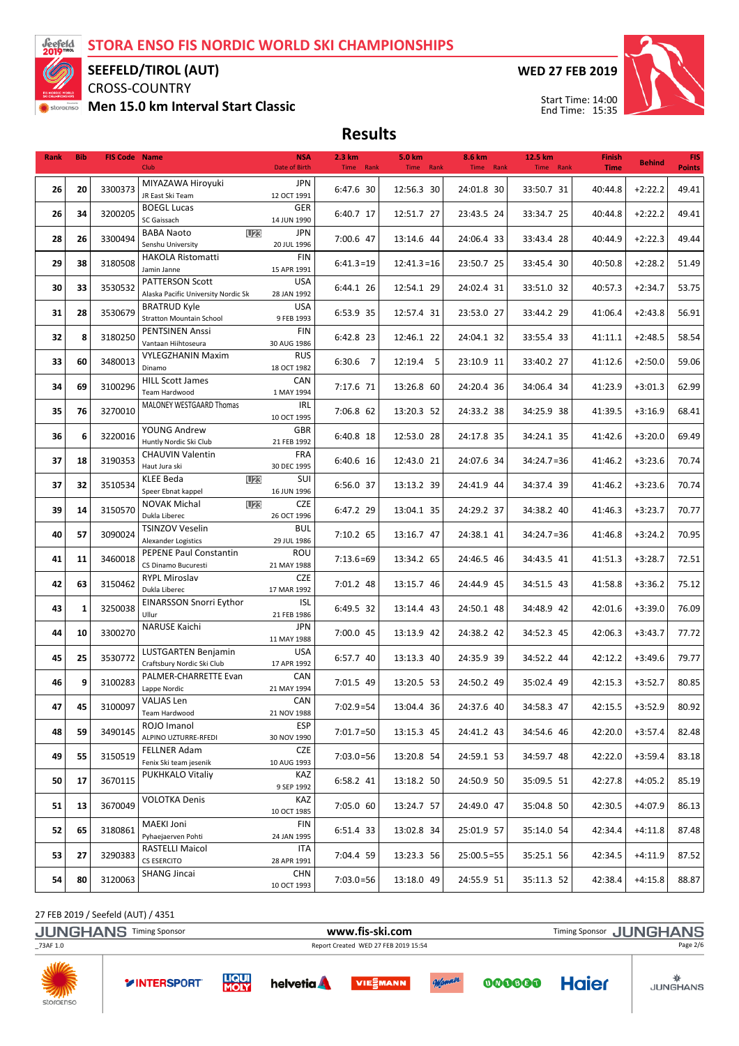

SEEFELD/TIROL (AUT)

CROSS-COUNTRY Men 15.0 km Interval Start Classic WED 27 FEB 2019



Start Time: 14:00 End Time: 15:35

Results

| Rank     | <b>Bib</b> | <b>FIS Code Name</b> | Club                                                   | <b>NSA</b><br>Date of Birth | 2.3 km<br>Time Rank | 5.0 km<br>Time Rank | 8.6 km<br>Time Rank | 12.5 km<br>Time Rank | <b>Finish</b><br><b>Time</b> | <b>Behind</b> | <b>FIS</b><br><b>Points</b> |
|----------|------------|----------------------|--------------------------------------------------------|-----------------------------|---------------------|---------------------|---------------------|----------------------|------------------------------|---------------|-----------------------------|
|          | 20         | 3300373              | MIYAZAWA Hiroyuki                                      | JPN                         |                     |                     |                     |                      |                              | $+2:22.2$     | 49.41                       |
| 26       |            |                      | JR East Ski Team                                       | 12 OCT 1991                 | 6:47.6 30           | 12:56.3 30          | 24:01.8 30          | 33:50.7 31           | 40:44.8                      |               |                             |
| 26       | 34         | 3200205              | <b>BOEGL Lucas</b>                                     | GER                         | 6:40.7 17           | 12:51.7 27          | 23:43.5 24          | 33:34.7 25           | 40:44.8                      | $+2:22.2$     | 49.41                       |
|          |            |                      | SC Gaissach<br><b>BABA Naoto</b><br><b>U23</b>         | 14 JUN 1990<br><b>JPN</b>   |                     |                     |                     |                      |                              |               |                             |
| 28       | 26         | 3300494              | Senshu University                                      | 20 JUL 1996                 | 7:00.6 47           | 13:14.6 44          | 24:06.4 33          | 33:43.4 28           | 40:44.9                      | $+2:22.3$     | 49.44                       |
|          |            |                      | <b>HAKOLA Ristomatti</b>                               | <b>FIN</b>                  |                     |                     |                     |                      |                              |               |                             |
| 29       | 38         | 3180508              | Jamin Janne                                            | 15 APR 1991                 | $6:41.3=19$         | $12:41.3=16$        | 23:50.7 25          | 33:45.4 30           | 40:50.8                      | $+2:28.2$     | 51.49                       |
| 30       | 33         | 3530532              | PATTERSON Scott                                        | <b>USA</b>                  | 6:44.1 26           | 12:54.1 29          | 24:02.4 31          | 33:51.0 32           | 40:57.3                      | $+2:34.7$     | 53.75                       |
|          |            |                      | Alaska Pacific University Nordic Sk                    | 28 JAN 1992                 |                     |                     |                     |                      |                              |               |                             |
| 31       | 28         | 3530679              | <b>BRATRUD Kyle</b><br><b>Stratton Mountain School</b> | <b>USA</b><br>9 FEB 1993    | 6:53.9 35           | 12:57.4 31          | 23:53.0 27          | 33:44.2 29           | 41:06.4                      | $+2:43.8$     | 56.91                       |
|          |            |                      | PENTSINEN Anssi                                        | <b>FIN</b>                  |                     |                     |                     |                      |                              |               |                             |
| 32       | 8          | 3180250              | Vantaan Hiihtoseura                                    | 30 AUG 1986                 | 6:42.8 23           | 12:46.1 22          | 24:04.1 32          | 33:55.4 33           | 41:11.1                      | $+2:48.5$     | 58.54                       |
| 33       | 60         | 3480013              | <b>VYLEGZHANIN Maxim</b>                               | <b>RUS</b>                  | 6:30.6 7            | 12:19.4 5           | 23:10.9 11          | 33:40.2 27           | 41:12.6                      | $+2:50.0$     | 59.06                       |
|          |            |                      | Dinamo                                                 | 18 OCT 1982                 |                     |                     |                     |                      |                              |               |                             |
| 34       | 69         | 3100296              | <b>HILL Scott James</b><br>Team Hardwood               | CAN<br>1 MAY 1994           | 7:17.6 71           | 13:26.8 60          | 24:20.4 36          | 34:06.4 34           | 41:23.9                      | $+3:01.3$     | 62.99                       |
|          |            |                      | MALONEY WESTGAARD Thomas                               | IRL                         |                     |                     |                     |                      |                              |               |                             |
| 35       | 76         | 3270010              |                                                        | 10 OCT 1995                 | 7:06.8 62           | 13:20.3 52          | 24:33.2 38          | 34:25.9 38           | 41:39.5                      | $+3:16.9$     | 68.41                       |
| 36       | 6          | 3220016              | YOUNG Andrew                                           | <b>GBR</b>                  | 6:40.8 18           | 12:53.0 28          | 24:17.8 35          | 34:24.1 35           | 41:42.6                      | $+3:20.0$     | 69.49                       |
|          |            |                      | Huntly Nordic Ski Club                                 | 21 FEB 1992                 |                     |                     |                     |                      |                              |               |                             |
| 37       | 18         | 3190353              | CHAUVIN Valentin<br>Haut Jura ski                      | <b>FRA</b><br>30 DEC 1995   | 6:40.6 16           | 12:43.0 21          | 24:07.6 34          | $34:24.7=36$         | 41:46.2                      | $+3:23.6$     | 70.74                       |
|          |            |                      | KLEE Beda<br><b>U23</b>                                | SUI                         |                     |                     |                     |                      |                              |               |                             |
| 37       | 32         | 3510534              | Speer Ebnat kappel                                     | 16 JUN 1996                 | 6:56.0 37           | 13:13.2 39          | 24:41.9 44          | 34:37.4 39           | 41:46.2                      | $+3:23.6$     | 70.74                       |
| 39       | 14         | 3150570              | <b>NOVAK Michal</b><br><b>U23</b>                      | CZE                         | 6:47.2 29           | 13:04.1 35          | 24:29.2 37          | 34:38.2 40           | 41:46.3                      | $+3:23.7$     | 70.77                       |
|          |            |                      | Dukla Liberec                                          | 26 OCT 1996                 |                     |                     |                     |                      |                              |               |                             |
| 40       | 57         | 3090024              | TSINZOV Veselin<br>Alexander Logistics                 | <b>BUL</b><br>29 JUL 1986   | 7:10.2 65           | 13:16.7 47          | 24:38.1 41          | $34:24.7=36$         | 41:46.8                      | $+3:24.2$     | 70.95                       |
|          |            |                      | PEPENE Paul Constantin                                 | ROU                         |                     |                     |                     |                      |                              |               |                             |
| 41       | 11         | 3460018              | CS Dinamo Bucuresti                                    | 21 MAY 1988                 | $7:13.6=69$         | 13:34.2 65          | 24:46.5 46          | 34:43.5 41           | 41:51.3                      | $+3:28.7$     | 72.51                       |
| 42       | 63         | 3150462              | <b>RYPL Miroslav</b>                                   | <b>CZE</b>                  | 7:01.2 48           | 13:15.7 46          | 24:44.9 45          | 34:51.5 43           | 41:58.8                      | $+3:36.2$     | 75.12                       |
|          |            |                      | Dukla Liberec                                          | 17 MAR 1992                 |                     |                     |                     |                      |                              |               |                             |
| 43       | 1          | 3250038              | <b>EINARSSON Snorri Eythor</b><br>Ullur                | ISL<br>21 FEB 1986          | 6:49.5 32           | 13:14.4 43          | 24:50.1 48          | 34:48.9 42           | 42:01.6                      | $+3:39.0$     | 76.09                       |
|          |            |                      | NARUSE Kaichi                                          | JPN                         |                     |                     |                     |                      |                              |               |                             |
| 44       | 10         | 3300270              |                                                        | 11 MAY 1988                 | 7:00.0 45           | 13:13.9 42          | 24:38.2 42          | 34:52.3 45           | 42:06.3                      | $+3:43.7$     | 77.72                       |
| 45       | 25         | 3530772              | LUSTGARTEN Benjamin                                    | <b>USA</b>                  | 6:57.7 40           | 13:13.3 40          | 24:35.9 39          | 34:52.2 44           | 42:12.2                      | $+3:49.6$     | 79.77                       |
|          |            |                      | Craftsbury Nordic Ski Club                             | 17 APR 1992                 |                     |                     |                     |                      |                              |               |                             |
| 46       | 9          | 3100283              | PALMER-CHARRETTE Evan<br>Lappe Nordic                  | CAN<br>21 MAY 1994          | 7:01.5 49           | 13:20.5 53          | 24:50.2 49          | 35:02.4 49           | 42:15.3                      | $+3:52.7$     | 80.85                       |
|          |            |                      | VALJAS Len                                             | CAN                         |                     |                     |                     |                      |                              |               |                             |
| 47       | 45         | 3100097              | Team Hardwood                                          | 21 NOV 1988                 | $7:02.9 = 54$       | 13:04.4 36          | 24:37.6 40          | 34:58.3 47           | 42:15.5                      | $+3:52.9$     | 80.92                       |
| 48       | 59         | 3490145              | ROJO Imanol                                            | <b>ESP</b>                  | $7:01.7=50$         | 13:15.3 45          | 24:41.2 43          | 34:54.6 46           | 42:20.0                      | $+3:57.4$     | 82.48                       |
|          |            |                      | ALPINO UZTURRE-RFEDI                                   | 30 NOV 1990                 |                     |                     |                     |                      |                              |               |                             |
| 49       | 55         | 3150519              | <b>FELLNER Adam</b><br>Fenix Ski team jesenik          | CZE<br>10 AUG 1993          | $7:03.0=56$         | 13:20.8 54          | 24:59.1 53          | 34:59.7 48           | 42:22.0                      | $+3:59.4$     | 83.18                       |
|          |            |                      | PUKHKALO Vitaliy                                       | KAZ                         |                     |                     |                     |                      |                              |               |                             |
| 50       | 17         | 3670115              |                                                        | 9 SEP 1992                  | 6:58.2 41           | 13:18.2 50          | 24:50.9 50          | 35:09.5 51           | 42:27.8                      | $+4:05.2$     | 85.19                       |
| 51       | 13         | 3670049              | <b>VOLOTKA Denis</b>                                   | KAZ                         | 7:05.0 60           | 13:24.7 57          | 24:49.0 47          | 35:04.8 50           | 42:30.5                      | $+4:07.9$     | 86.13                       |
|          |            |                      |                                                        | 10 OCT 1985                 |                     |                     |                     |                      |                              |               |                             |
| 52       | 65         | 3180861              | MAEKI Joni                                             | FIN                         | 6:51.4 33           | 13:02.8 34          | 25:01.9 57          | 35:14.0 54           | 42:34.4                      | $+4:11.8$     | 87.48                       |
|          |            |                      | Pyhaejaerven Pohti<br>RASTELLI Maicol                  | 24 JAN 1995<br>ITA          |                     |                     |                     |                      |                              |               |                             |
| 53       | 27         | 3290383              | CS ESERCITO                                            | 28 APR 1991                 | 7:04.4 59           | 13:23.3 56          | $25:00.5 = 55$      | 35:25.1 56           | 42:34.5                      | $+4:11.9$     | 87.52                       |
|          |            | 3120063              | <b>SHANG Jincai</b>                                    | CHN                         |                     |                     |                     |                      | 42:38.4                      |               | 88.87                       |
| 80<br>54 |            |                      | 10 OCT 1993                                            | $7:03.0=56$                 | 13:18.0 49          | 24:55.9 51          | 35:11.3 52          |                      | $+4:15.8$                    |               |                             |

27 FEB 2019 / Seefeld (AUT) / 4351

storaenso

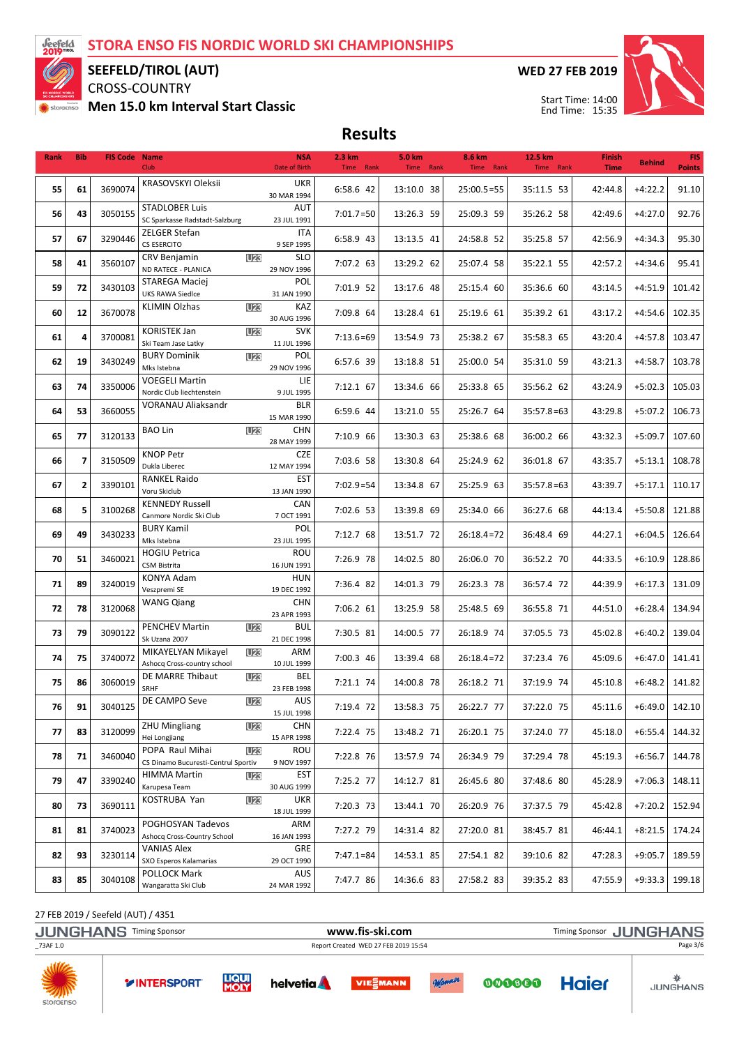

SEEFELD/TIROL (AUT)

CROSS-COUNTRY

Men 15.0 km Interval Start Classic

WED 27 FEB 2019



Start Time: 14:00 End Time: 15:35

Results

| Rank | <b>Bib</b>     | <b>FIS Code Name</b> | <b>Club</b>                                                   | <b>NSA</b><br>Date of Birth | 2.3 km<br>Time Rank | 5.0 km<br>Time Rank | 8.6 km<br>Time Rank | 12.5 km<br>Time Rank | <b>Finish</b><br><b>Time</b> | <b>Behind</b>    | <b>FIS</b><br><b>Points</b> |
|------|----------------|----------------------|---------------------------------------------------------------|-----------------------------|---------------------|---------------------|---------------------|----------------------|------------------------------|------------------|-----------------------------|
|      | 61             | 3690074              | KRASOVSKYI Oleksii                                            | <b>UKR</b>                  | 6:58.6 42           |                     | $25:00.5=55$        |                      | 42:44.8                      |                  |                             |
| 55   |                |                      |                                                               | 30 MAR 1994                 |                     | 13:10.0 38          |                     | 35:11.5 53           |                              | $+4:22.2$        | 91.10                       |
| 56   | 43             | 3050155              | <b>STADLOBER Luis</b><br>SC Sparkasse Radstadt-Salzburg       | AUT<br>23 JUL 1991          | $7:01.7=50$         | 13:26.3 59          | 25:09.3 59          | 35:26.2 58           | 42:49.6                      | $+4:27.0$        | 92.76                       |
|      |                |                      | ZELGER Stefan                                                 | <b>ITA</b>                  |                     |                     |                     |                      |                              |                  |                             |
| 57   | 67             | 3290446              | CS ESERCITO                                                   | 9 SEP 1995                  | 6:58.9 43           | 13:13.5 41          | 24:58.8 52          | 35:25.8 57           | 42:56.9                      | $+4:34.3$        | 95.30                       |
| 58   | 41             | 3560107              | CRV Benjamin<br><b>U23</b><br>ND RATECE - PLANICA             | <b>SLO</b><br>29 NOV 1996   | 7:07.2 63           | 13:29.2 62          | 25:07.4 58          | 35:22.1 55           | 42:57.2                      | $+4:34.6$        | 95.41                       |
|      |                |                      | STAREGA Maciej                                                | POL                         |                     |                     |                     |                      |                              |                  |                             |
| 59   | 72             | 3430103              | <b>UKS RAWA Siedlce</b>                                       | 31 JAN 1990                 | 7:01.9 52           | 13:17.6 48          | 25:15.4 60          | 35:36.6 60           | 43:14.5                      | $+4:51.9$        | 101.42                      |
| 60   | 12             | 3670078              | KLIMIN Olzhas<br><b>U23</b>                                   | KAZ<br>30 AUG 1996          | 7:09.8 64           | 13:28.4 61          | 25:19.6 61          | 35:39.2 61           | 43:17.2                      | $+4:54.6$        | 102.35                      |
|      |                |                      | <b>KORISTEK Jan</b><br><b>U23</b>                             | <b>SVK</b>                  |                     |                     |                     |                      |                              |                  |                             |
| 61   | 4              | 3700081              | Ski Team Jase Latky                                           | 11 JUL 1996                 | $7:13.6=69$         | 13:54.9 73          | 25:38.2 67          | 35:58.3 65           | 43:20.4                      | $+4:57.8$        | 103.47                      |
| 62   | 19             | 3430249              | <b>BURY Dominik</b><br><b>U23</b><br>Mks Istebna              | POL<br>29 NOV 1996          | 6:57.6 39           | 13:18.8 51          | 25:00.0 54          | 35:31.0 59           | 43:21.3                      | $+4:58.7$        | 103.78                      |
|      |                |                      | <b>VOEGELI Martin</b>                                         | LIE                         |                     |                     |                     |                      |                              |                  |                             |
| 63   | 74             | 3350006              | Nordic Club liechtenstein                                     | 9 JUL 1995                  | 7:12.1 67           | 13:34.6 66          | 25:33.8 65          | 35:56.2 62           | 43:24.9                      | $+5:02.3$        | 105.03                      |
| 64   | 53             | 3660055              | <b>VORANAU Aliaksandr</b>                                     | <b>BLR</b><br>15 MAR 1990   | 6:59.6 44           | 13:21.0 55          | 25:26.7 64          | $35:57.8=63$         | 43:29.8                      | $+5:07.2$        | 106.73                      |
|      |                |                      | <b>BAO Lin</b><br><b>U23</b>                                  | <b>CHN</b>                  |                     |                     |                     |                      |                              |                  |                             |
| 65   | 77             | 3120133              |                                                               | 28 MAY 1999                 | 7:10.9 66           | 13:30.3 63          | 25:38.6 68          | 36:00.2 66           | 43:32.3                      | $+5:09.7$        | 107.60                      |
| 66   | $\overline{ }$ | 3150509              | <b>KNOP Petr</b><br>Dukla Liberec                             | <b>CZE</b><br>12 MAY 1994   | 7:03.6 58           | 13:30.8 64          | 25:24.9 62          | 36:01.8 67           | 43:35.7                      | $+5:13.1$        | 108.78                      |
|      |                |                      | <b>RANKEL Raido</b>                                           | <b>EST</b>                  |                     |                     |                     |                      |                              |                  |                             |
| 67   | $\overline{2}$ | 3390101              | Voru Skiclub                                                  | 13 JAN 1990                 | $7:02.9 = 54$       | 13:34.8 67          | 25:25.9 63          | $35:57.8=63$         | 43:39.7                      | $+5:17.1$        | 110.17                      |
| 68   | 5              | 3100268              | <b>KENNEDY Russell</b>                                        | CAN<br>7 OCT 1991           | 7:02.6 53           | 13:39.8 69          | 25:34.0 66          | 36:27.6 68           | 44:13.4                      | $+5:50.8$        | 121.88                      |
|      |                | 49<br>3430233        | Canmore Nordic Ski Club<br><b>BURY Kamil</b>                  | POL                         |                     |                     |                     |                      |                              |                  |                             |
| 69   |                |                      | Mks Istebna                                                   | 23 JUL 1995                 | 7:12.7 68           | 13:51.7 72          | $26:18.4=72$        | 36:48.4 69           | 44:27.1                      | $+6:04.5$        | 126.64                      |
| 70   | 51             | 3460021              | <b>HOGIU Petrica</b>                                          | ROU                         | 7:26.9 78           | 14:02.5 80          | 26:06.0 70          | 36:52.2 70           | 44:33.5                      | $+6:10.9$        | 128.86                      |
|      |                |                      | CSM Bistrita<br>KONYA Adam                                    | 16 JUN 1991<br><b>HUN</b>   |                     |                     |                     |                      |                              |                  |                             |
| 71   | 89             | 3240019              | Veszpremi SE                                                  | 19 DEC 1992                 | 7:36.4 82           | 14:01.3 79          | 26:23.3 78          | 36:57.4 72           | 44:39.9                      | $+6:17.3$        | 131.09                      |
| 72   | 78             | 3120068              | <b>WANG Qiang</b>                                             | <b>CHN</b>                  | 7:06.2 61           | 13:25.9 58          | 25:48.5 69          | 36:55.8 71           | 44:51.0                      | $+6:28.4$        | 134.94                      |
|      |                |                      | <b>PENCHEV Martin</b><br><b>U23</b>                           | 23 APR 1993<br><b>BUL</b>   |                     |                     |                     |                      |                              |                  |                             |
| 73   | 79             | 3090122              | Sk Uzana 2007                                                 | 21 DEC 1998                 | 7:30.5 81           | 14:00.5 77          | 26:18.9 74          | 37:05.5 73           | 45:02.8                      | $+6:40.2$        | 139.04                      |
| 74   | 75             | 3740072              | MIKAYELYAN Mikayel<br>U23                                     | ARM                         | 7:00.3 46           | 13:39.4 68          | $26:18.4=72$        | 37:23.4 76           | 45:09.6                      | $+6:47.0$        | 141.41                      |
|      |                |                      | Ashocq Cross-country school<br>DE MARRE Thibaut<br><b>U23</b> | 10 JUL 1999<br><b>BEL</b>   |                     |                     |                     |                      |                              |                  |                             |
| 75   | 86             | 3060019              | SRHF                                                          | 23 FEB 1998                 | 7:21.1 74           | 14:00.8 78          | 26:18.2 71          | 37:19.9 74           | 45:10.8                      | $+6:48.2$        | 141.82                      |
| 76   | 91             | 3040125              | DE CAMPO Seve<br>U23                                          | AUS                         | 7:19.4 72           | 13:58.3 75          | 26:22.7 77          | 37:22.0 75           | 45:11.6                      | $+6:49.0$ 142.10 |                             |
|      |                |                      | <b>ZHU Mingliang</b><br>U23                                   | 15 JUL 1998<br><b>CHN</b>   |                     |                     |                     |                      |                              |                  |                             |
| 77   | 83             | 3120099              | Hei Longjiang                                                 | 15 APR 1998                 | 7:22.4 75           | 13:48.2 71          | 26:20.1 75          | 37:24.0 77           | 45:18.0                      | $+6:55.4$        | 144.32                      |
| 78   | 71             | 3460040              | POPA Raul Mihai<br><b>U23</b>                                 | ROU                         | 7:22.8 76           | 13:57.9 74          | 26:34.9 79          | 37:29.4 78           | 45:19.3                      | $+6:56.7$        | 144.78                      |
|      |                |                      | CS Dinamo Bucuresti-Centrul Sportiv<br>HIMMA Martin<br>U23    | 9 NOV 1997<br>EST           |                     |                     |                     |                      |                              |                  |                             |
| 79   | 47             | 3390240              | Karupesa Team                                                 | 30 AUG 1999                 | 7:25.2 77           | 14:12.7 81          | 26:45.6 80          | 37:48.6 80           | 45:28.9                      | $+7:06.3$        | 148.11                      |
| 80   | 73             | 3690111              | U23<br>KOSTRUBA Yan                                           | <b>UKR</b>                  | 7:20.3 73           | 13:44.1 70          | 26:20.9 76          | 37:37.5 79           | 45:42.8                      | $+7:20.2$        | 152.94                      |
|      |                |                      | POGHOSYAN Tadevos                                             | 18 JUL 1999<br>ARM          |                     |                     |                     |                      |                              |                  |                             |
| 81   | 81             | 3740023              | Ashocq Cross-Country School                                   | 16 JAN 1993                 | 7:27.2 79           | 14:31.4 82          | 27:20.0 81          | 38:45.7 81           | 46:44.1                      | $+8:21.5$        | 174.24                      |
| 82   | 93             | 3230114              | VANIAS Alex                                                   | GRE                         | $7:47.1=84$         | 14:53.1 85          | 27:54.1 82          | 39:10.6 82           | 47:28.3                      | $+9:05.7$        | 189.59                      |
|      |                |                      | SXO Esperos Kalamarias<br><b>POLLOCK Mark</b>                 | 29 OCT 1990<br>AUS          |                     |                     |                     |                      |                              |                  |                             |
| 83   | 85             | 3040108              | Wangaratta Ski Club                                           | 24 MAR 1992                 | 7:47.7 86           | 14:36.6 83          | 27:58.2 83          | 39:35.2 83           | 47:55.9                      | $+9:33.3$        | 199.18                      |

27 FEB 2019 / Seefeld (AUT) / 4351

storaenso

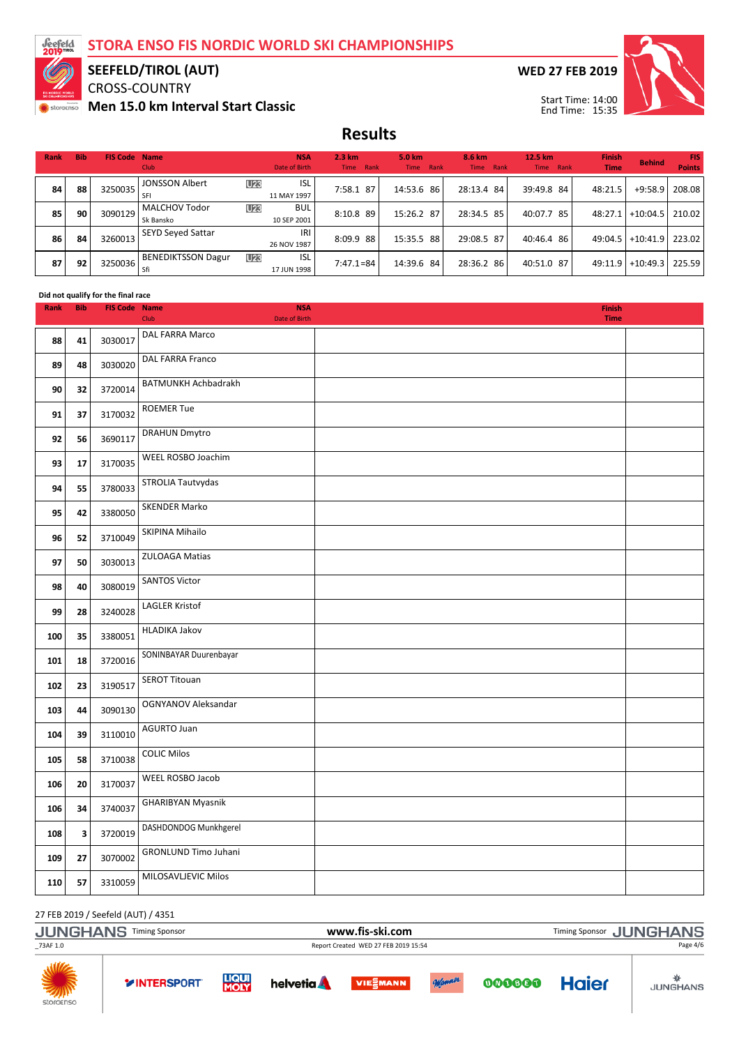

# SEEFELD/TIROL (AUT)<br>CROSS-COUNTRY

Men 15.0 km Interval Start Classic

**WED 27 FEB 2019** 



**Results** 

| Rank | <b>Bib</b> | <b>FIS Code Name</b> | <b>Club</b>                       | <b>NSA</b><br>Date of Birth      | $2.3 \text{ km}$<br>Time Rank | 5.0 km<br>Time Rank | 8.6 km<br><b>Time</b><br>Rank | 12.5 km<br>Rank<br><b>Time</b> | <b>Finish</b><br><b>Time</b> | <b>Behind</b> | FIS.<br><b>Points</b> |
|------|------------|----------------------|-----------------------------------|----------------------------------|-------------------------------|---------------------|-------------------------------|--------------------------------|------------------------------|---------------|-----------------------|
| 84   | 88         | 3250035              | <b>JONSSON Albert</b>             | <b>ISL</b><br>U23<br>11 MAY 1997 | 7:58.1 87                     | 14:53.6 86          | 28:13.4 84                    | 39:49.8 84                     | 48:21.5                      | $+9:58.9$     | 208.08                |
| 85   | 90         | 3090129              | <b>MALCHOV Todor</b><br>Sk Bansko | U23<br><b>BUL</b><br>10 SEP 2001 | 8:10.8 89                     | 15:26.2 87          | 28:34.5 85                    | 40:07.7<br>85                  | 48:27.1                      | $+10:04.5$    | 210.02                |
| 86   | 84         | 3260013              | <b>SEYD Seyed Sattar</b>          | IRI<br>26 NOV 1987               | 8:09.9 88                     | 15:35.5 88          | 29:08.5 87                    | 40:46.4 86                     | 49:04.5                      | $+10:41.9$    | 223.02                |
| 87   | 92         | 3250036              | <b>BENEDIKTSSON Dagur</b><br>Sfi  | <b>ISL</b><br>U23<br>17 JUN 1998 | $7:47.1=84$                   | 14:39.6 84          | 28:36.2 86                    | 40:51.0 87                     | 49:11.9                      | $+10:49.3$    | 225.59                |

#### Did not qualify for the final race

| Rank | <b>Bib</b> | <b>FIS Code Name</b> | <b>NSA</b><br>Date of Birth<br>Club | Finish<br><b>Time</b> |  |
|------|------------|----------------------|-------------------------------------|-----------------------|--|
| 88   | 41         | 3030017              | DAL FARRA Marco                     |                       |  |
|      |            |                      | DAL FARRA Franco                    |                       |  |
| 89   | 48         | 3030020              |                                     |                       |  |
| 90   | 32         | 3720014              | BATMUNKH Achbadrakh                 |                       |  |
| 91   | 37         | 3170032              | <b>ROEMER Tue</b>                   |                       |  |
| 92   | 56         | 3690117              | <b>DRAHUN Dmytro</b>                |                       |  |
| 93   | 17         | 3170035              | WEEL ROSBO Joachim                  |                       |  |
| 94   | 55         | 3780033              | STROLIA Tautvydas                   |                       |  |
| 95   | 42         | 3380050              | <b>SKENDER Marko</b>                |                       |  |
| 96   | 52         | 3710049              | SKIPINA Mihailo                     |                       |  |
| 97   | 50         | 3030013              | ZULOAGA Matias                      |                       |  |
| 98   | 40         | 3080019              | <b>SANTOS Victor</b>                |                       |  |
| 99   | 28         | 3240028              | <b>LAGLER Kristof</b>               |                       |  |
| 100  | 35         | 3380051              | <b>HLADIKA Jakov</b>                |                       |  |
| 101  | 18         | 3720016              | SONINBAYAR Duurenbayar              |                       |  |
| 102  | 23         | 3190517              | <b>SEROT Titouan</b>                |                       |  |
| 103  | 44         | 3090130              | OGNYANOV Aleksandar                 |                       |  |
| 104  | 39         | 3110010              | <b>AGURTO Juan</b>                  |                       |  |
| 105  | 58         | 3710038              | <b>COLIC Milos</b>                  |                       |  |
| 106  | 20         | 3170037              | WEEL ROSBO Jacob                    |                       |  |
| 106  | 34         | 3740037              | <b>GHARIBYAN Myasnik</b>            |                       |  |
| 108  | 3          | 3720019              | DASHDONDOG Munkhgerel               |                       |  |
| 109  | 27         | 3070002              | <b>GRONLUND Timo Juhani</b>         |                       |  |
| 110  | 57         | 3310059              | MILOSAVLJEVIC Milos                 |                       |  |

27 FEB 2019 / Seefeld (AUT) / 4351

|                         | $\frac{2}{100}$ red 2019 / Secreta (AOT) / 4331 |                             |                   |                                      |        |        |              |                 |
|-------------------------|-------------------------------------------------|-----------------------------|-------------------|--------------------------------------|--------|--------|--------------|-----------------|
|                         | <b>JUNGHANS Timing Sponsor</b>                  |                             | www.fis-ski.com   | Timing Sponsor JUNGHANS              |        |        |              |                 |
| 73AF 1.0                |                                                 |                             |                   | Report Created WED 27 FEB 2019 15:54 |        |        |              | Page 4/6        |
| <b>AND</b><br>storaenso | <b>YINTERSPORT</b>                              | <b>LIQUI</b><br><b>MOLY</b> | helvetia <b>A</b> | <b>VIESMANN</b>                      | Monner | 000000 | <b>Haier</b> | <b>JUNGHANS</b> |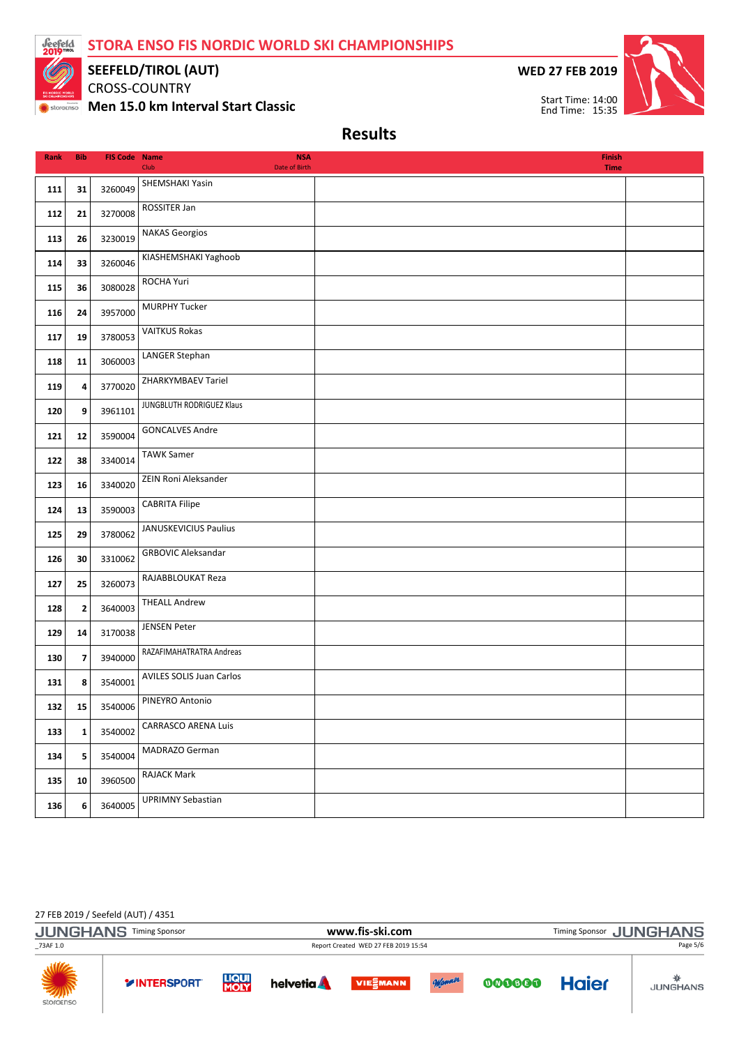STORA ENSO FIS NORDIC WORLD SKI CHAMPIONSHIPS



SEEFELD/TIROL (AUT)

CROSS-COUNTRY Men 15.0 km Interval Start Classic WED 27 FEB 2019



Results

| <b>Rank</b> | <b>Bib</b>              | <b>FIS Code Name</b> | <b>NSA</b><br>Club<br>Date of Birth | Finish<br><b>Time</b> |  |
|-------------|-------------------------|----------------------|-------------------------------------|-----------------------|--|
| 111         | 31                      | 3260049              | SHEMSHAKI Yasin                     |                       |  |
| 112         | 21                      | 3270008              | ROSSITER Jan                        |                       |  |
| 113         | 26                      | 3230019              | <b>NAKAS Georgios</b>               |                       |  |
| 114         | 33                      | 3260046              | KIASHEMSHAKI Yaghoob                |                       |  |
| 115         | 36                      | 3080028              | ROCHA Yuri                          |                       |  |
| 116         | 24                      | 3957000              | <b>MURPHY Tucker</b>                |                       |  |
| 117         | 19                      | 3780053              | <b>VAITKUS Rokas</b>                |                       |  |
| 118         | 11                      | 3060003              | LANGER Stephan                      |                       |  |
| 119         | 4                       | 3770020              | ZHARKYMBAEV Tariel                  |                       |  |
| 120         | 9                       | 3961101              | JUNGBLUTH RODRIGUEZ Klaus           |                       |  |
| 121         | 12                      | 3590004              | <b>GONCALVES Andre</b>              |                       |  |
| 122         | 38                      | 3340014              | <b>TAWK Samer</b>                   |                       |  |
| 123         | 16                      | 3340020              | ZEIN Roni Aleksander                |                       |  |
| 124         | 13                      | 3590003              | <b>CABRITA Filipe</b>               |                       |  |
| 125         | 29                      | 3780062              | JANUSKEVICIUS Paulius               |                       |  |
| 126         | 30                      | 3310062              | <b>GRBOVIC Aleksandar</b>           |                       |  |
| 127         | 25                      | 3260073              | RAJABBLOUKAT Reza                   |                       |  |
| 128         | $\overline{\mathbf{2}}$ | 3640003              | <b>THEALL Andrew</b>                |                       |  |
| 129         | 14                      | 3170038              | <b>JENSEN Peter</b>                 |                       |  |
| 130         | $\overline{\mathbf{z}}$ | 3940000              | RAZAFIMAHATRATRA Andreas            |                       |  |
| 131         | 8                       | 3540001              | AVILES SOLIS Juan Carlos            |                       |  |
| 132         | 15                      | 3540006              | PINEYRO Antonio                     |                       |  |
| 133         | $\mathbf{1}$            | 3540002              | <b>CARRASCO ARENA Luis</b>          |                       |  |
| 134         | 5                       | 3540004              | MADRAZO German                      |                       |  |
| 135         | 10                      | 3960500              | RAJACK Mark                         |                       |  |
| 136         | 6                       | 3640005              | <b>UPRIMNY Sebastian</b>            |                       |  |

27 FEB 2019 / Seefeld (AUT) / 4351